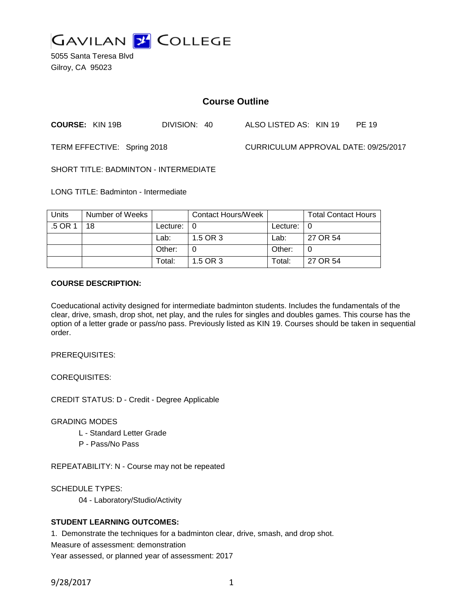

5055 Santa Teresa Blvd Gilroy, CA 95023

# **Course Outline**

**COURSE:** KIN 19B DIVISION: 40 ALSO LISTED AS: KIN 19 PE 19

TERM EFFECTIVE: Spring 2018 CURRICULUM APPROVAL DATE: 09/25/2017

SHORT TITLE: BADMINTON - INTERMEDIATE

LONG TITLE: Badminton - Intermediate

| <b>Units</b> | Number of Weeks |                    | Contact Hours/Week |                    | <b>Total Contact Hours</b> |
|--------------|-----------------|--------------------|--------------------|--------------------|----------------------------|
| .5 OR 1      | 18              | Lecture: $\vert 0$ |                    | Lecture: $\vert 0$ |                            |
|              |                 | Lab:               | 1.5 OR 3           | Lab:               | 27 OR 54                   |
|              |                 | Other:             |                    | Other:             |                            |
|              |                 | Total:             | 1.5 OR 3           | Total:             | 27 OR 54                   |

## **COURSE DESCRIPTION:**

Coeducational activity designed for intermediate badminton students. Includes the fundamentals of the clear, drive, smash, drop shot, net play, and the rules for singles and doubles games. This course has the option of a letter grade or pass/no pass. Previously listed as KIN 19. Courses should be taken in sequential order.

PREREQUISITES:

COREQUISITES:

CREDIT STATUS: D - Credit - Degree Applicable

GRADING MODES

- L Standard Letter Grade
- P Pass/No Pass

REPEATABILITY: N - Course may not be repeated

SCHEDULE TYPES:

04 - Laboratory/Studio/Activity

## **STUDENT LEARNING OUTCOMES:**

1. Demonstrate the techniques for a badminton clear, drive, smash, and drop shot.

Measure of assessment: demonstration

Year assessed, or planned year of assessment: 2017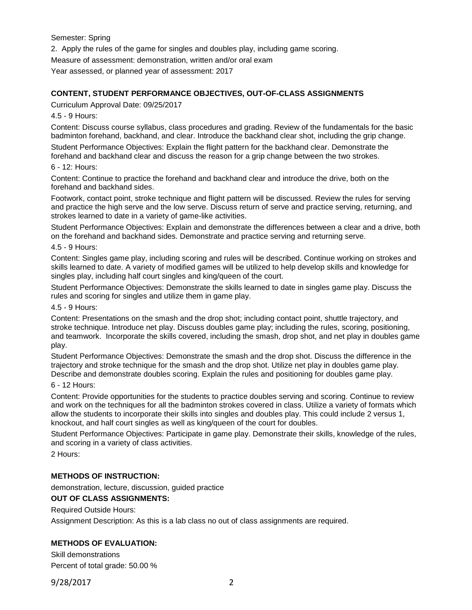Semester: Spring

2. Apply the rules of the game for singles and doubles play, including game scoring.

Measure of assessment: demonstration, written and/or oral exam

Year assessed, or planned year of assessment: 2017

## **CONTENT, STUDENT PERFORMANCE OBJECTIVES, OUT-OF-CLASS ASSIGNMENTS**

Curriculum Approval Date: 09/25/2017

4.5 - 9 Hours:

Content: Discuss course syllabus, class procedures and grading. Review of the fundamentals for the basic badminton forehand, backhand, and clear. Introduce the backhand clear shot, including the grip change.

Student Performance Objectives: Explain the flight pattern for the backhand clear. Demonstrate the forehand and backhand clear and discuss the reason for a grip change between the two strokes.

### 6 - 12: Hours:

Content: Continue to practice the forehand and backhand clear and introduce the drive, both on the forehand and backhand sides.

Footwork, contact point, stroke technique and flight pattern will be discussed. Review the rules for serving and practice the high serve and the low serve. Discuss return of serve and practice serving, returning, and strokes learned to date in a variety of game-like activities.

Student Performance Objectives: Explain and demonstrate the differences between a clear and a drive, both on the forehand and backhand sides. Demonstrate and practice serving and returning serve.

4.5 - 9 Hours:

Content: Singles game play, including scoring and rules will be described. Continue working on strokes and skills learned to date. A variety of modified games will be utilized to help develop skills and knowledge for singles play, including half court singles and king/queen of the court.

Student Performance Objectives: Demonstrate the skills learned to date in singles game play. Discuss the rules and scoring for singles and utilize them in game play.

#### 4.5 - 9 Hours:

Content: Presentations on the smash and the drop shot; including contact point, shuttle trajectory, and stroke technique. Introduce net play. Discuss doubles game play; including the rules, scoring, positioning, and teamwork. Incorporate the skills covered, including the smash, drop shot, and net play in doubles game play.

Student Performance Objectives: Demonstrate the smash and the drop shot. Discuss the difference in the trajectory and stroke technique for the smash and the drop shot. Utilize net play in doubles game play. Describe and demonstrate doubles scoring. Explain the rules and positioning for doubles game play.

#### 6 - 12 Hours:

Content: Provide opportunities for the students to practice doubles serving and scoring. Continue to review and work on the techniques for all the badminton strokes covered in class. Utilize a variety of formats which allow the students to incorporate their skills into singles and doubles play. This could include 2 versus 1, knockout, and half court singles as well as king/queen of the court for doubles.

Student Performance Objectives: Participate in game play. Demonstrate their skills, knowledge of the rules, and scoring in a variety of class activities.

2 Hours:

## **METHODS OF INSTRUCTION:**

demonstration, lecture, discussion, guided practice

## **OUT OF CLASS ASSIGNMENTS:**

Required Outside Hours:

Assignment Description: As this is a lab class no out of class assignments are required.

## **METHODS OF EVALUATION:**

Skill demonstrations Percent of total grade: 50.00 %

9/28/2017 2